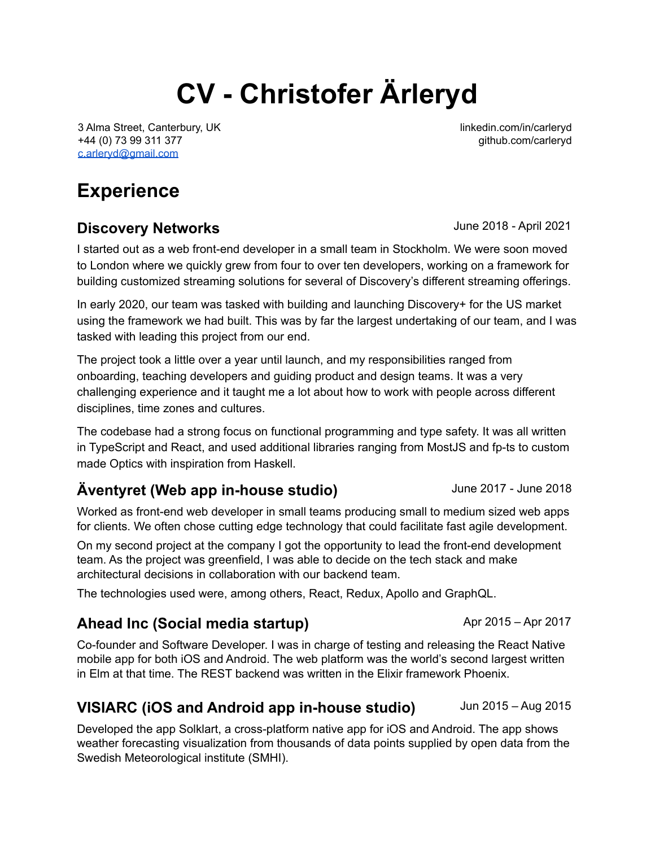# **CV - Christofer Ärleryd**

3 Alma Street, Canterbury, UK +44 (0) 73 99 311 377 [c.arleryd@gmail.com](mailto:c.arleryd@gmail.com)

linkedin.com/in/carleryd github.com/carleryd

## **Experience**

#### **Discovery Networks Discovery Networks June 2018** - April 2021

I started out as a web front-end developer in a small team in Stockholm. We were soon moved to London where we quickly grew from four to over ten developers, working on a framework for building customized streaming solutions for several of Discovery's different streaming offerings.

In early 2020, our team was tasked with building and launching Discovery+ for the US market using the framework we had built. This was by far the largest undertaking of our team, and I was tasked with leading this project from our end.

The project took a little over a year until launch, and my responsibilities ranged from onboarding, teaching developers and guiding product and design teams. It was a very challenging experience and it taught me a lot about how to work with people across different disciplines, time zones and cultures.

The codebase had a strong focus on functional programming and type safety. It was all written in TypeScript and React, and used additional libraries ranging from MostJS and fp-ts to custom made Optics with inspiration from Haskell.

## **Äventyret (Web app in-house studio)** June 2017 - June 2018

Worked as front-end web developer in small teams producing small to medium sized web apps for clients. We often chose cutting edge technology that could facilitate fast agile development.

On my second project at the company I got the opportunity to lead the front-end development team. As the project was greenfield, I was able to decide on the tech stack and make architectural decisions in collaboration with our backend team.

The technologies used were, among others, React, Redux, Apollo and GraphQL.

#### **Ahead Inc (Social media startup)** Apr 2015 – Apr 2017

Co-founder and Software Developer. I was in charge of testing and releasing the React Native mobile app for both iOS and Android. The web platform was the world's second largest written in Elm at that time. The REST backend was written in the Elixir framework Phoenix.

## **VISIARC (iOS and Android app in-house studio)** Jun 2015 – Aug 2015

Developed the app Solklart, a cross-platform native app for iOS and Android. The app shows weather forecasting visualization from thousands of data points supplied by open data from the Swedish Meteorological institute (SMHI).